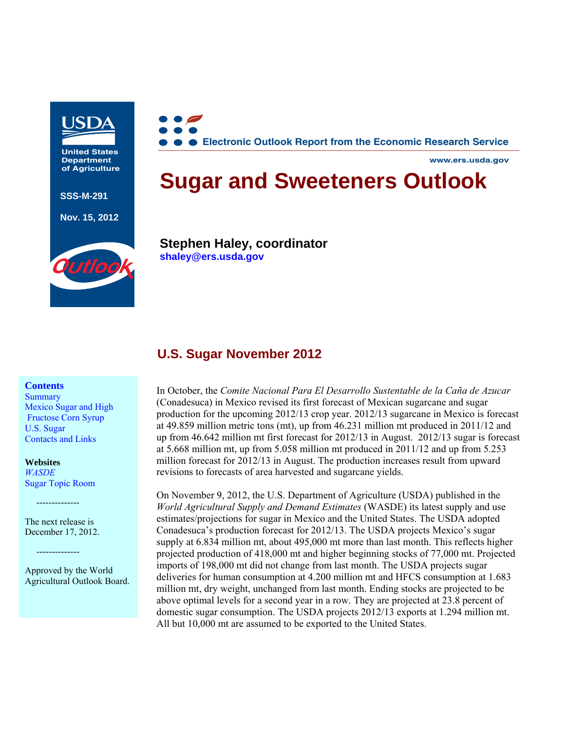

**United States Department of Agriculture**

**SSS-M-291** 

**Nov. 15, 2012** 



**Electronic Outlook Report from the Economic Research Service**

**www.ers.usda.gov**

# **Sugar and Sweeteners Outlook**

**Stephen Haley, coordinator shaley@ers.usda.gov**

## **U.S. Sugar November 2012**

#### **Contents**

**Summary** Mexico Sugar and High Fructose Corn Syrup U.S. Sugar Contacts and Links

**Websites** 

*WASDE*  Sugar Topic Room

--------------

The next release is December 17, 2012.

--------------

Approved by the World Agricultural Outlook Board. In October, the *Comite Nacional Para El Desarrollo Sustentable de la Caña de Azucar* (Conadesuca) in Mexico revised its first forecast of Mexican sugarcane and sugar production for the upcoming 2012/13 crop year. 2012/13 sugarcane in Mexico is forecast at 49.859 million metric tons (mt), up from 46.231 million mt produced in 2011/12 and up from 46.642 million mt first forecast for 2012/13 in August. 2012/13 sugar is forecast at 5.668 million mt, up from 5.058 million mt produced in 2011/12 and up from 5.253 million forecast for 2012/13 in August. The production increases result from upward revisions to forecasts of area harvested and sugarcane yields.

On November 9, 2012, the U.S. Department of Agriculture (USDA) published in the *World Agricultural Supply and Demand Estimates* (WASDE) its latest supply and use estimates/projections for sugar in Mexico and the United States. The USDA adopted Conadesuca's production forecast for 2012/13. The USDA projects Mexico's sugar supply at 6.834 million mt, about 495,000 mt more than last month. This reflects higher projected production of 418,000 mt and higher beginning stocks of 77,000 mt. Projected imports of 198,000 mt did not change from last month. The USDA projects sugar deliveries for human consumption at 4.200 million mt and HFCS consumption at 1.683 million mt, dry weight, unchanged from last month. Ending stocks are projected to be above optimal levels for a second year in a row. They are projected at 23.8 percent of domestic sugar consumption. The USDA projects 2012/13 exports at 1.294 million mt. All but 10,000 mt are assumed to be exported to the United States.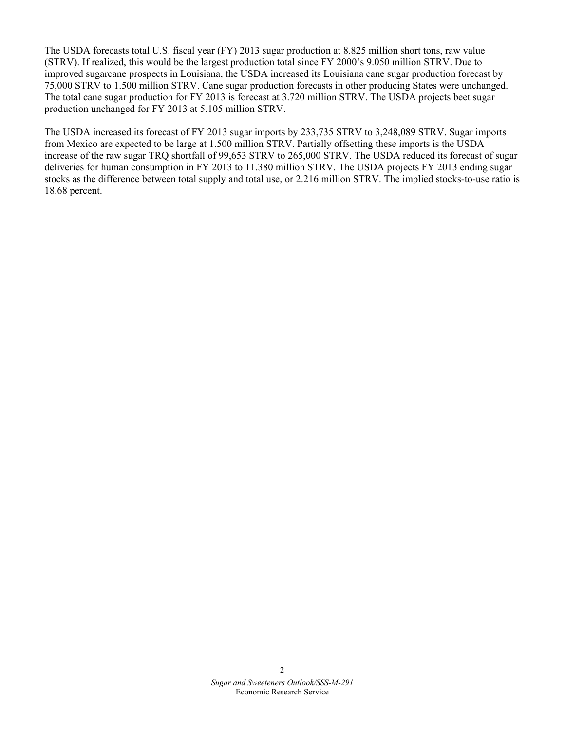The USDA forecasts total U.S. fiscal year (FY) 2013 sugar production at 8.825 million short tons, raw value (STRV). If realized, this would be the largest production total since FY 2000's 9.050 million STRV. Due to improved sugarcane prospects in Louisiana, the USDA increased its Louisiana cane sugar production forecast by 75,000 STRV to 1.500 million STRV. Cane sugar production forecasts in other producing States were unchanged. The total cane sugar production for FY 2013 is forecast at 3.720 million STRV. The USDA projects beet sugar production unchanged for FY 2013 at 5.105 million STRV.

The USDA increased its forecast of FY 2013 sugar imports by 233,735 STRV to 3,248,089 STRV. Sugar imports from Mexico are expected to be large at 1.500 million STRV. Partially offsetting these imports is the USDA increase of the raw sugar TRQ shortfall of 99,653 STRV to 265,000 STRV. The USDA reduced its forecast of sugar deliveries for human consumption in FY 2013 to 11.380 million STRV. The USDA projects FY 2013 ending sugar stocks as the difference between total supply and total use, or 2.216 million STRV. The implied stocks-to-use ratio is 18.68 percent.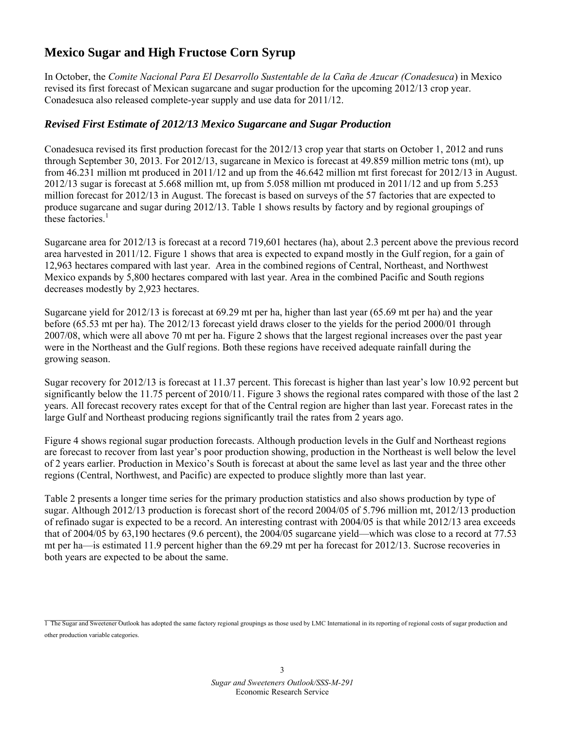# **Mexico Sugar and High Fructose Corn Syrup**

In October, the *Comite Nacional Para El Desarrollo Sustentable de la Caña de Azucar (Conadesuca*) in Mexico revised its first forecast of Mexican sugarcane and sugar production for the upcoming 2012/13 crop year. Conadesuca also released complete-year supply and use data for 2011/12.

#### *Revised First Estimate of 2012/13 Mexico Sugarcane and Sugar Production*

Conadesuca revised its first production forecast for the 2012/13 crop year that starts on October 1, 2012 and runs through September 30, 2013. For 2012/13, sugarcane in Mexico is forecast at 49.859 million metric tons (mt), up from 46.231 million mt produced in 2011/12 and up from the 46.642 million mt first forecast for 2012/13 in August. 2012/13 sugar is forecast at 5.668 million mt, up from 5.058 million mt produced in 2011/12 and up from 5.253 million forecast for 2012/13 in August. The forecast is based on surveys of the 57 factories that are expected to produce sugarcane and sugar during 2012/13. Table 1 shows results by factory and by regional groupings of these factories.<sup>1</sup>

Sugarcane area for 2012/13 is forecast at a record 719,601 hectares (ha), about 2.3 percent above the previous record area harvested in 2011/12. Figure 1 shows that area is expected to expand mostly in the Gulf region, for a gain of 12,963 hectares compared with last year. Area in the combined regions of Central, Northeast, and Northwest Mexico expands by 5,800 hectares compared with last year. Area in the combined Pacific and South regions decreases modestly by 2,923 hectares.

Sugarcane yield for 2012/13 is forecast at 69.29 mt per ha, higher than last year (65.69 mt per ha) and the year before (65.53 mt per ha). The 2012/13 forecast yield draws closer to the yields for the period 2000/01 through 2007/08, which were all above 70 mt per ha. Figure 2 shows that the largest regional increases over the past year were in the Northeast and the Gulf regions. Both these regions have received adequate rainfall during the growing season.

Sugar recovery for 2012/13 is forecast at 11.37 percent. This forecast is higher than last year's low 10.92 percent but significantly below the 11.75 percent of 2010/11. Figure 3 shows the regional rates compared with those of the last 2 years. All forecast recovery rates except for that of the Central region are higher than last year. Forecast rates in the large Gulf and Northeast producing regions significantly trail the rates from 2 years ago.

Figure 4 shows regional sugar production forecasts. Although production levels in the Gulf and Northeast regions are forecast to recover from last year's poor production showing, production in the Northeast is well below the level of 2 years earlier. Production in Mexico's South is forecast at about the same level as last year and the three other regions (Central, Northwest, and Pacific) are expected to produce slightly more than last year.

Table 2 presents a longer time series for the primary production statistics and also shows production by type of sugar. Although 2012/13 production is forecast short of the record 2004/05 of 5.796 million mt, 2012/13 production of refinado sugar is expected to be a record. An interesting contrast with 2004/05 is that while 2012/13 area exceeds that of 2004/05 by 63,190 hectares (9.6 percent), the 2004/05 sugarcane yield—which was close to a record at 77.53 mt per ha—is estimated 11.9 percent higher than the 69.29 mt per ha forecast for 2012/13. Sucrose recoveries in both years are expected to be about the same.

<sup>1</sup> The Sugar and Sweetener Outlook has adopted the same factory regional groupings as those used by LMC International in its reporting of regional costs of sugar production and other production variable categories.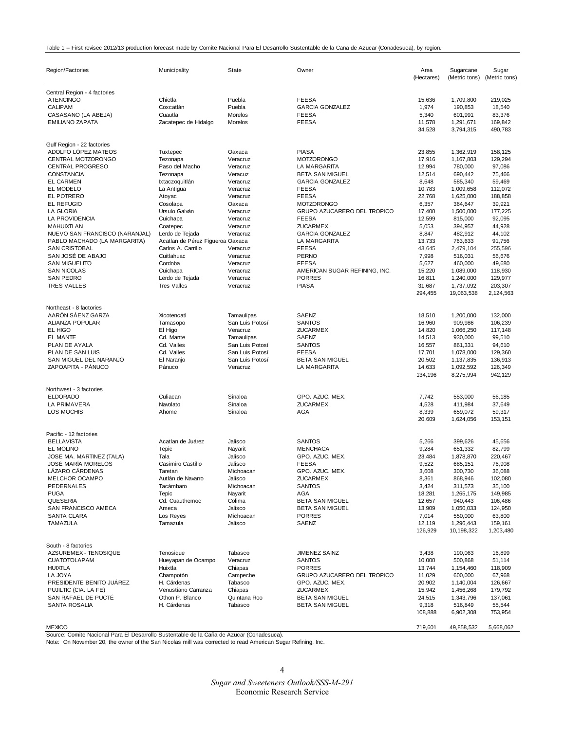#### Table 1 -- First revisec 2012/13 production forecast made by Comite Nacional Para El Desarrollo Sustentable de la Cana de Azucar (Conadesuca), by region.

| Region/Factories                                               | Municipality                                        | State                | Owner                              | Area<br>(Hectares) | Sugarcane<br>(Metric tons) | Sugar<br>(Metric tons) |
|----------------------------------------------------------------|-----------------------------------------------------|----------------------|------------------------------------|--------------------|----------------------------|------------------------|
| Central Region - 4 factories                                   |                                                     |                      |                                    |                    |                            |                        |
| <b>ATENCINGO</b>                                               | Chietla                                             | Puebla               | <b>FEESA</b>                       | 15,636             | 1,709,800                  | 219,025                |
| CALIPAM                                                        | Coxcatlán                                           | Puebla               | <b>GARCIA GONZALEZ</b>             | 1,974              | 190,853                    | 18,540                 |
| CASASANO (LA ABEJA)                                            | Cuautla                                             | Morelos              | <b>FEESA</b>                       | 5,340              | 601,991                    | 83,376                 |
| <b>EMILIANO ZAPATA</b>                                         | Zacatepec de Hidalgo                                | Morelos              | <b>FEESA</b>                       | 11,578             | 1,291,671                  | 169,842                |
|                                                                |                                                     |                      |                                    | 34,528             | 3,794,315                  | 490,783                |
|                                                                |                                                     |                      |                                    |                    |                            |                        |
| Gulf Region - 22 factories<br>ADOLFO LÓPEZ MATEOS              | Tuxtepec                                            | Oaxaca               | <b>PIASA</b>                       | 23,855             | 1,362,919                  | 158,125                |
| CENTRAL MOTZORONGO                                             | Tezonapa                                            | Veracruz             | <b>MOTZORONGO</b>                  | 17,916             | 1,167,803                  | 129,294                |
| <b>CENTRAL PROGRESO</b>                                        | Paso del Macho                                      | Veracruz             | LA MARGARITA                       | 12,994             | 780,000                    | 97,086                 |
| <b>CONSTANCIA</b>                                              | Tezonapa                                            | Veracuz              | <b>BETA SAN MIGUEL</b>             | 12,514             | 690,442                    | 75,466                 |
| <b>EL CARMEN</b>                                               | Ixtaczoquitlán                                      | Veracruz             | <b>GARCIA GONZALEZ</b>             | 8,648              | 585,340                    | 59,469                 |
| EL MODELO                                                      | La Antigua                                          | Veracruz             | <b>FEESA</b>                       | 10,783             | 1,009,658                  | 112,072                |
| EL POTRERO                                                     | Atoyac                                              | Veracruz             | <b>FEESA</b>                       | 22,768             | 1,625,000                  | 188,858                |
| EL REFUGIO                                                     | Cosolapa                                            | Oaxaca               | <b>MOTZORONGO</b>                  | 6,357              | 364,647                    | 39,921                 |
| LA GLORIA                                                      | Ursulo Galván                                       | Veracruz             | GRUPO AZUCARERO DEL TROPICO        | 17,400             | 1,500,000                  | 177,225                |
| LA PROVIDENCIA                                                 | Cuichapa                                            | Veracruz             | <b>FEESA</b>                       | 12,599             | 815,000                    | 92,095                 |
| MAHUIXTLAN                                                     | Coatepec                                            | Veracruz             | ZUCARMEX<br><b>GARCIA GONZALEZ</b> | 5,053<br>8,847     | 394,957<br>482,912         | 44,928<br>44,102       |
| NUEVO SAN FRANCISCO (NARANJAL)<br>PABLO MACHADO (LA MARGARITA) | Lerdo de Tejada<br>Acatlan de Pérez Figueroa Oaxaca | Veracruz             | <b>LA MARGARITA</b>                | 13,733             | 763,633                    | 91,756                 |
| <b>SAN CRISTOBAL</b>                                           | Carlos A. Carrillo                                  | Veracruz             | <b>FEESA</b>                       | 43,645             | 2,479,104                  | 255,596                |
| SAN JOSÉ DE ABAJO                                              | Cuitlahuac                                          | Veracruz             | PERNO                              | 7,998              | 516,031                    | 56,676                 |
| <b>SAN MIGUELITO</b>                                           | Cordoba                                             | Veracruz             | <b>FEESA</b>                       | 5,627              | 460,000                    | 49,680                 |
| <b>SAN NICOLAS</b>                                             | Cuichapa                                            | Veracruz             | AMERICAN SUGAR REFINING, INC.      | 15,220             | 1,089,000                  | 118,930                |
| <b>SAN PEDRO</b>                                               | Lerdo de Tejada                                     | Veracruz             | <b>PORRES</b>                      | 16,811             | 1,240,000                  | 129,977                |
| <b>TRES VALLES</b>                                             | <b>Tres Valles</b>                                  | Veracruz             | <b>PIASA</b>                       | 31,687             | 1,737,092                  | 203,307                |
|                                                                |                                                     |                      |                                    | 294,455            | 19,063,538                 | 2,124,563              |
| Northeast - 8 factories                                        |                                                     |                      |                                    |                    |                            |                        |
| AARÓN SÁENZ GARZA                                              | Xicotencatl                                         | Tamaulipas           | SAENZ                              | 18,510             | 1,200,000                  | 132,000                |
| <b>ALIANZA POPULAR</b>                                         | Tamasopo                                            | San Luis Potosí      | <b>SANTOS</b>                      | 16,960             | 909,986                    | 106,239                |
| EL HIGO                                                        | El Higo                                             | Veracruz             | ZUCARMEX                           | 14,820             | 1,066,250                  | 117,148                |
| <b>EL MANTE</b>                                                | Cd. Mante                                           | Tamaulipas           | SAENZ                              | 14,513             | 930,000                    | 99,510                 |
| PLAN DE AYALA                                                  | Cd. Valles                                          | San Luis Potosí      | <b>SANTOS</b>                      | 16,557             | 861,331                    | 94,610                 |
| PLAN DE SAN LUIS                                               | Cd. Valles                                          | San Luis Potosí      | <b>FEESA</b>                       | 17,701             | 1,078,000                  | 129,360                |
| SAN MIGUEL DEL NARANJO                                         | El Naranjo                                          | San Luis Potosí      | <b>BETA SAN MIGUEL</b>             | 20,502             | 1,137,835                  | 136,913                |
| ZAPOAPITA - PÁNUCO                                             | Pánuco                                              | Veracruz             | LA MARGARITA                       | 14,633             | 1,092,592                  | 126,349                |
|                                                                |                                                     |                      |                                    | 134,196            | 8,275,994                  | 942,129                |
| Northwest - 3 factories                                        |                                                     |                      |                                    |                    |                            |                        |
| <b>ELDORADO</b>                                                | Culiacan                                            | Sinaloa              | GPO. AZUC. MEX.                    | 7,742              | 553,000                    | 56,185                 |
| LA PRIMAVERA                                                   | Navolato                                            | Sinaloa              | ZUCARMEX                           | 4,528              | 411,984                    | 37,649                 |
| <b>LOS MOCHIS</b>                                              | Ahome                                               | Sinaloa              | AGA                                | 8,339              | 659,072                    | 59,317                 |
|                                                                |                                                     |                      |                                    | 20,609             | 1,624,056                  | 153,151                |
| Pacific - 12 factories                                         |                                                     |                      |                                    |                    |                            |                        |
| <b>BELLAVISTA</b>                                              | Acatlan de Juárez                                   | Jalisco              | <b>SANTOS</b>                      | 5,266              | 399,626                    | 45,656                 |
| <b>EL MOLINO</b>                                               | Tepic                                               | Nayarit              | <b>MENCHACA</b>                    | 9,284              | 651,332                    | 82,799                 |
| JOSE MA. MARTINEZ (TALA)                                       | Tala                                                | Jalisco              | GPO. AZUC. MEX.                    | 23,484             | 1,878,870                  | 220,467                |
| <b>JOSÉ MARÍA MORELOS</b>                                      | Casimiro Castillo                                   | Jalisco              | <b>FEESA</b>                       | 9,522              | 685.151                    | 76,908                 |
| LÁZARO CÁRDENAS                                                | Taretan                                             | Michoacan            | GPO. AZUC. MEX.                    | 3,608              | 300,730                    | 36,088                 |
| MELCHOR OCAMPO<br><b>PEDERNALES</b>                            | Autlán de Navarro<br>Tacámbaro                      | Jalisco<br>Michoacan | ZUCARMEX<br><b>SANTOS</b>          | 8,361<br>3,424     | 868,946<br>311,573         | 102,080<br>35,100      |
| <b>PUGA</b>                                                    | Tepic                                               | Nayarit              | AGA                                | 18,281             | 1,265,175                  | 149,985                |
| <b>QUESERIA</b>                                                | Cd. Cuauthemoc                                      | Colima               | <b>BETA SAN MIGUEL</b>             | 12,657             | 940,443                    | 106,486                |
| SAN FRANCISCO AMECA                                            | Ameca                                               | Jalisco              | <b>BETA SAN MIGUEL</b>             | 13,909             | 1,050,033                  | 124,950                |
| SANTA CLARA                                                    | Los Reyes                                           | Michoacan            | <b>PORRES</b>                      | 7,014              | 550,000                    | 63,800                 |
| <b>TAMAZULA</b>                                                | Tamazula                                            | Jalisco              | SAENZ                              | 12,119             | 1,296,443                  | 159,161                |
|                                                                |                                                     |                      |                                    | 126,929            | 10,198,322                 | 1,203,480              |
| South - 8 factories                                            |                                                     |                      |                                    |                    |                            |                        |
| AZSUREMEX - TENOSIQUE                                          |                                                     |                      | <b>JIMENEZ SAINZ</b>               | 3,438              | 190,063                    | 16,899                 |
| <b>CUATOTOLAPAM</b>                                            | Tenosique<br>Hueyapan de Ocampo                     | Tabasco<br>Veracruz  | <b>SANTOS</b>                      | 10,000             | 500,868                    | 51,114                 |
| <b>HUIXTLA</b>                                                 | Huixtla                                             | Chiapas              | <b>PORRES</b>                      | 13,744             | 1,154,460                  | 118,909                |
| LA JOYA                                                        | Champotón                                           | Campeche             | GRUPO AZUCARERO DEL TROPICO        | 11,029             | 600,000                    | 67,968                 |
| PRESIDENTE BENITO JUÁREZ                                       | H. Cárdenas                                         | Tabasco              | GPO. AZUC. MEX.                    | 20,902             | 1,140,004                  | 126.667                |
| PUJILTIC (CIA. LA FE)                                          | Venustiano Carranza                                 | Chiapas              | ZUCARMEX                           | 15,942             | 1,456,268                  | 179,792                |
| SAN RAFAEL DE PUCTÉ                                            | Othon P. Blanco                                     | Quintana Roo         | BETA SAN MIGUEL                    | 24,515             | 1,343,796                  | 137,061                |
| SANTA ROSALIA                                                  | H. Cárdenas                                         | Tabasco              | <b>BETA SAN MIGUEL</b>             | 9,318              | 516,849                    | 55,544                 |
|                                                                |                                                     |                      |                                    | 108,888            | 6,902,308                  | 753,954                |
| <b>MEXICO</b>                                                  |                                                     |                      |                                    | 719,601            | 49,858,532                 | 5,668,062              |

Source: Comite Nacional Para El Desarrollo Sustentable de la Caña de Azucar (Conadesuca).

Note: On November 20, the owner of the San Nicolas mill was corrected to read American Sugar Refining, Inc.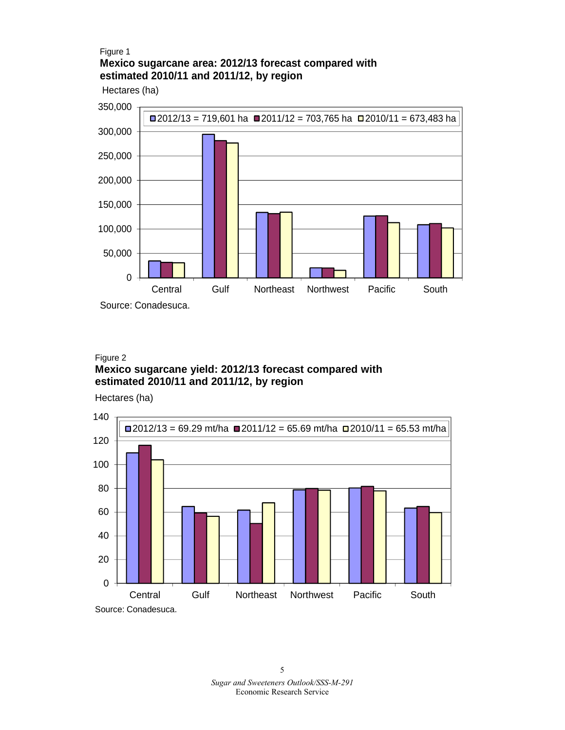#### Figure 1 **Mexico sugarcane area: 2012/13 forecast compared with estimated 2010/11 and 2011/12, by region**

Hectares (ha)



#### Figure 2 **Mexico sugarcane yield: 2012/13 forecast compared with estimated 2010/11 and 2011/12, by region**

Hectares (ha)

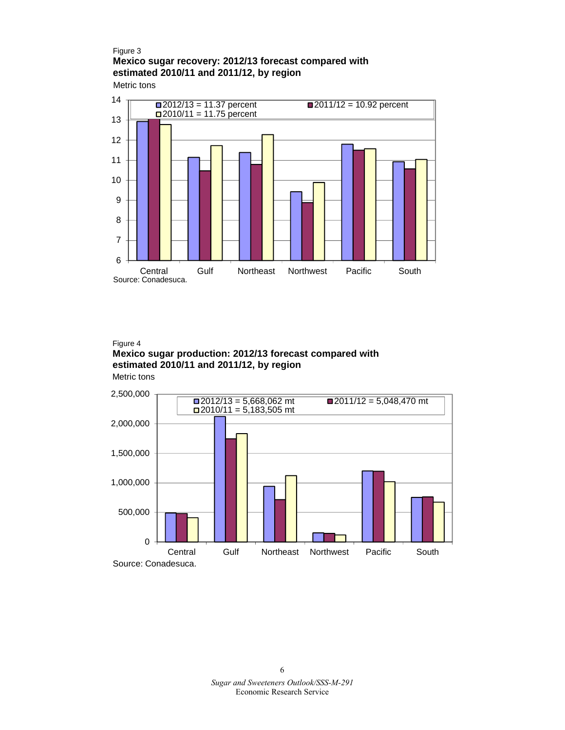## Figure 3 **Mexico sugar recovery: 2012/13 forecast compared with estimated 2010/11 and 2011/12, by region**

Metric tons



#### Metric tons Figure 4 **Mexico sugar production: 2012/13 forecast compared with estimated 2010/11 and 2011/12, by region**

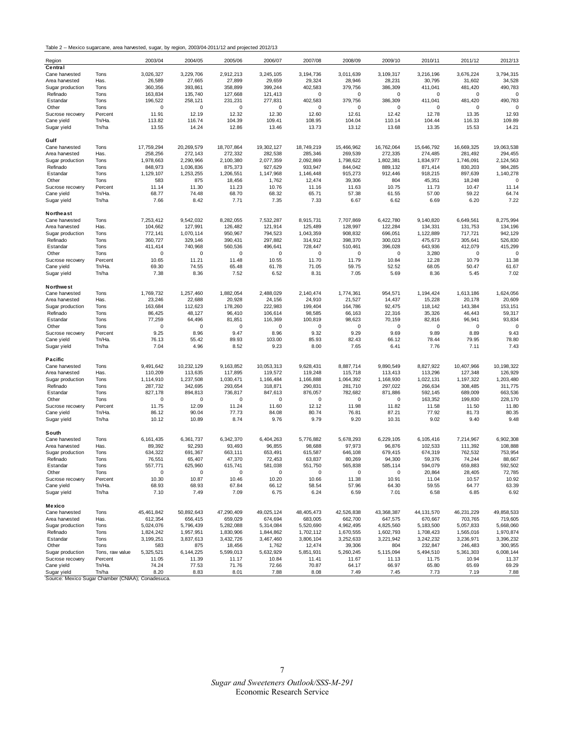Table 2 -- Mexico sugarcane, area harvested, sugar, by region, 2003/04-2011/12 and projected 2012/13

| Region                                            |                 | 2003/04    | 2004/05     | 2005/06     | 2006/07     | 2007/08    | 2008/09    | 2009/10     | 2010/11      | 2011/12     | 2012/13      |
|---------------------------------------------------|-----------------|------------|-------------|-------------|-------------|------------|------------|-------------|--------------|-------------|--------------|
| Central                                           |                 |            |             |             |             |            |            |             |              |             |              |
| Cane harvested                                    | Tons            | 3,026,327  | 3,229,706   | 2,912,213   | 3,245,105   | 3,194,736  | 3,011,639  | 3,109,317   | 3,216,196    | 3,676,224   | 3,794,315    |
| Area harvested                                    | Has.            | 26,589     | 27,665      | 27,899      | 29,659      | 29,324     | 28,946     | 28,231      | 30,795       | 31,602      | 34,528       |
| Sugar production                                  | Tons            | 360,356    | 393,861     | 358,899     | 399,244     | 402,583    | 379,756    | 386,309     | 411,041      | 481,420     | 490,783      |
| Refinado                                          | Tons            | 163,834    | 135,740     | 127,668     | 121,413     | 0          | 0          | $\mathsf 0$ | 0            | 0           | 0            |
| Estandar                                          | Tons            | 196.522    | 258,121     | 231,231     | 277,831     | 402,583    | 379,756    | 386,309     | 411,041      | 481,420     | 490,783      |
| Other                                             | Tons            | 0          | 0           | $\mathbf 0$ | $\mathbf 0$ | 0          | 0          | $\mathsf 0$ | 0            | $\mathbf 0$ |              |
| Sucrose recovery                                  | Percent         | 11.91      | 12.19       | 12.32       | 12.30       | 12.60      | 12.61      | 12.42       | 12.78        | 13.35       | 12.93        |
| Cane yield                                        | Tn/Ha.          | 113.82     | 116.74      | 104.39      | 109.41      | 108.95     | 104.04     | 110.14      | 104.44       | 116.33      | 109.89       |
| Sugar yield                                       | Tn/ha           | 13.55      | 14.24       | 12.86       | 13.46       | 13.73      | 13.12      | 13.68       | 13.35        | 15.53       | 14.21        |
|                                                   |                 |            |             |             |             |            |            |             |              |             |              |
| Gulf                                              |                 |            |             |             |             |            |            |             |              |             |              |
| Cane harvested                                    | Tons            | 17,759,294 | 20,269,579  | 18,707,864  | 19,302,127  | 18,749,219 | 15,466,962 | 16,762,064  | 15,646,792   | 16,669,325  | 19,063,538   |
| Area harvested                                    | Has.            | 258,256    | 272,143     | 272,332     | 282,538     | 285,346    | 269,539    | 272,335     | 274,485      | 281,492     | 294,455      |
| Sugar production                                  | Tons            | 1,978,663  | 2,290,966   | 2.100.380   | 2,077,359   | 2,092,869  | 1,798,622  | 1,802,381   | 1,834,977    | 1,746,091   | 2,124,563    |
| Refinado                                          | Tons            | 848,973    | 1,036,836   | 875,373     | 927,629     | 933,947    | 844,042    | 889,132     | 871,414      | 830,203     | 984,285      |
| Estandar                                          | Tons            | 1,129,107  | 1,253,255   | 1,206,551   | 1,147,968   | 1,146,448  | 915,273    | 912,446     | 918,215      | 897,639     | 1,140,278    |
| Other                                             | Tons            | 583        | 875         | 18,456      | 1,762       | 12,474     | 39,306     | 804         | 45,351       | 18,248      |              |
| Sucrose recovery                                  | Percent         | 11.14      | 11.30       | 11.23       | 10.76       | 11.16      | 11.63      | 10.75       | 11.73        | 10.47       | 11.14        |
| Cane yield                                        | Tn/Ha.          | 68.77      | 74.48       | 68.70       | 68.32       | 65.71      | 57.38      | 61.55       | 57.00        | 59.22       | 64.74        |
| Sugar yield                                       | Tn/ha           | 7.66       | 8.42        | 7.71        | 7.35        | 7.33       | 6.67       | 6.62        | 6.69         | 6.20        | 7.22         |
|                                                   |                 |            |             |             |             |            |            |             |              |             |              |
| Northeast                                         |                 |            |             |             |             |            |            |             |              |             |              |
| Cane harvested                                    | Tons            | 7,253,412  | 9,542,032   | 8,282,055   | 7,532,287   | 8,915,731  | 7,707,869  | 6,422,780   | 9,140,820    | 6,649,561   | 8,275,994    |
| Area harvested                                    | Has.            | 104,662    | 127,991     | 126,482     | 121,914     | 125,489    | 128,997    | 122,284     | 134,331      | 131,753     | 134,196      |
| Sugar production                                  | Tons            | 772,141    | 1,070,114   | 950,967     | 794,523     | 1,043,359  | 908,832    | 696,051     | 1,122,889    | 717,721     | 942,129      |
| Refinado                                          | Tons            | 360,727    | 329,146     | 390,431     | 297,882     | 314,912    | 398,370    | 300,023     | 475,673      | 305,641     | 526,830      |
| Estandar                                          | Tons            | 411,414    | 740,968     | 560,536     | 496,641     | 728,447    | 510,461    | 396,028     | 643,936      | 412,079     | 415,299      |
| Other                                             | Tons            | 0          | 0           | 0           | 0           | 0          | 0          | 0           | 3,280        | 0           | $\mathbf 0$  |
| Sucrose recovery                                  | Percent         | 10.65      | 11.21       | 11.48       | 10.55       | 11.70      | 11.79      | 10.84       | 12.28        | 10.79       | 11.38        |
| Cane yield                                        | Tn/Ha.          | 69.30      | 74.55       | 65.48       | 61.78       | 71.05      | 59.75      | 52.52       | 68.05        | 50.47       | 61.67        |
|                                                   | Tn/ha           | 7.38       | 8.36        | 7.52        | 6.52        | 8.31       | 7.05       | 5.69        | 8.36         | 5.45        | 7.02         |
| Sugar yield                                       |                 |            |             |             |             |            |            |             |              |             |              |
| <b>Northwest</b>                                  |                 |            |             |             |             |            |            |             |              |             |              |
| Cane harvested                                    | Tons            |            |             | 1,882,054   | 2,488,029   |            |            |             |              |             |              |
|                                                   | Has.            | 1,769,732  | 1,257,460   |             |             | 2,140,474  | 1,774,361  | 954,571     | 1,194,424    | 1,613,186   | 1,624,056    |
| Area harvested                                    |                 | 23,246     | 22,688      | 20,928      | 24,156      | 24,910     | 21,527     | 14,437      | 15,228       | 20,178      | 20,609       |
| Sugar production                                  | Tons            | 163,684    | 112,623     | 178,260     | 222,983     | 199,404    | 164,786    | 92,475      | 118,142      | 143,384     | 153,151      |
| Refinado                                          | Tons            | 86,425     | 48,127      | 96,410      | 106,614     | 98,585     | 66,163     | 22,316      | 35,326       | 46,443      | 59,317       |
| Estandar                                          | Tons            | 77,259     | 64,496      | 81,851      | 116,369     | 100,819    | 98,623     | 70,159      | 82,816       | 96,941      | 93,834       |
| Other                                             | Tons            | 0          | $\mathbf 0$ | $\mathbf 0$ | 0           | 0          | 0          | $\mathbf 0$ | 0            | 0           | $\Omega$     |
| Sucrose recovery                                  | Percent         | 9.25       | 8.96        | 9.47        | 8.96        | 9.32       | 9.29       | 9.69        | 9.89         | 8.89        | 9.43         |
| Cane yield                                        | Tn/Ha.          | 76.13      | 55.42       | 89.93       | 103.00      | 85.93      | 82.43      | 66.12       | 78.44        | 79.95       | 78.80        |
| Sugar yield                                       | Tn/ha           | 7.04       | 4.96        | 8.52        | 9.23        | 8.00       | 7.65       | 6.41        | 7.76         | 7.11        | 7.43         |
|                                                   |                 |            |             |             |             |            |            |             |              |             |              |
| Pacific                                           |                 |            |             |             |             |            |            |             |              |             |              |
| Cane harvested                                    | Tons            | 9,491,642  | 10,232,129  | 9,163,852   | 10,053,313  | 9,628,431  | 8,887,714  | 9,890,549   | 8,827,922    | 10,407,966  | 10, 198, 322 |
| Area harvested                                    | Has.            | 110,209    | 113,635     | 117,895     | 119,572     | 119,248    | 115,718    | 113,413     | 113,296      | 127,348     | 126,929      |
| Sugar production                                  | Tons            | 1,114,910  | 1,237,508   | 1,030,471   | 1,166,484   | 1,166,888  | 1,064,392  | 1,168,930   | 1,022,131    | 1,197,322   | 1,203,480    |
| Refinado                                          | Tons            | 287,732    | 342,695     | 293,654     | 318,871     | 290,831    | 281,710    | 297,022     | 266,634      | 308,485     | 311,775      |
| Estandar                                          | Tons            | 827,178    | 894,813     | 736,817     | 847,613     | 876,057    | 782,682    | 871,886     | 592,145      | 689,009     | 663,536      |
| Other                                             | Tons            | 0          | 0           | 0           | 0           | 0          | 0          | 0           | 163,352      | 199,830     | 228,170      |
| Sucrose recovery                                  | Percent         | 11.75      | 12.09       | 11.24       | 11.60       | 12.12      | 11.98      | 11.82       | 11.58        | 11.50       | 11.80        |
| Cane yield                                        | Tn/Ha.          | 86.12      | 90.04       | 77.73       | 84.08       | 80.74      | 76.81      | 87.21       | 77.92        | 81.73       | 80.35        |
| Sugar yield                                       | Tn/ha           | 10.12      | 10.89       | 8.74        | 9.76        | 9.79       | 9.20       | 10.31       | 9.02         | 9.40        | 9.48         |
|                                                   |                 |            |             |             |             |            |            |             |              |             |              |
| South                                             |                 |            |             |             |             |            |            |             |              |             |              |
| Cane harvested                                    | Tons            | 6,161,435  | 6,361,737   | 6,342,370   | 6,404,263   | 5,776,882  | 5,678,293  | 6,229,105   | 6,105,416    | 7,214,967   | 6,902,308    |
| Area harvested                                    | Has.            | 89,392     | 92,293      | 93,493      | 96,855      | 98,688     | 97,973     | 96,876      | 102,533      | 111,392     | 108,888      |
| Sugar production                                  | Tons            | 634,322    | 691,367     | 663,111     | 653,491     | 615,587    | 646,108    | 679,415     | 674,319      | 762,532     | 753,954      |
| Refinado                                          | Tons            | 76,551     | 65,407      | 47,370      | 72,453      | 63,837     | 80,269     | 94,300      | 59,376       | 74,244      | 88,667       |
| Estandar                                          | Tons            | 557,771    | 625,960     | 615,741     | 581,038     | 551,750    | 565,838    | 585,114     | 594,079      | 659,883     | 592,502      |
| Other                                             | Tons            | 0          | 0           | 0           | 0           | 0          | 0          | 0           | 20,864       | 28,405      | 72,785       |
| Sucrose recovery                                  | Percent         | 10.30      | 10.87       | 10.46       | 10.20       | 10.66      | 11.38      | 10.91       | 11.04        | 10.57       | 10.92        |
| Cane yield                                        | Tn/Ha.          | 68.93      | 68.93       | 67.84       | 66.12       | 58.54      | 57.96      | 64.30       | 59.55        | 64.77       | 63.39        |
| Sugar yield                                       | Tn/ha           | 7.10       | 7.49        | 7.09        | 6.75        | 6.24       | 6.59       | 7.01        | 6.58         | 6.85        | 6.92         |
|                                                   |                 |            |             |             |             |            |            |             |              |             |              |
| Mexico                                            |                 |            |             |             |             |            |            |             |              |             |              |
| Cane harvested                                    | Tons            | 45,461,842 | 50,892,643  | 47,290,409  | 49,025,124  | 48,405,473 | 42,526,838 | 43,368,387  | 44, 131, 570 | 46,231,229  | 49,858,533   |
| Area harvested                                    | Has.            | 612,354    | 656,415     | 659,029     | 674,694     | 683,005    | 662,700    | 647,575     | 670,667      | 703,765     | 719,605      |
| Sugar production                                  | Tons            | 5,024,076  | 5,796,439   | 5,282,088   | 5,314,084   | 5,520,690  | 4,962,495  | 4,825,560   | 5,183,500    | 5,057,833   | 5,668,060    |
| Refinado                                          | Tons            | 1,824,242  | 1,957,951   | 1,830,906   | 1,844,862   | 1,702,112  | 1,670,555  | 1,602,793   | 1,708,423    | 1,565,016   | 1,970,874    |
| Estandar                                          | Tons            | 3,199,251  | 3,837,613   | 3,432,726   | 3,467,460   | 3,806,104  | 3,252,633  | 3,221,942   | 3,242,232    | 3,236,971   | 3,396,232    |
| Other                                             | Tons            | 583        | 875         | 18,456      | 1,762       | 12,474     | 39,306     | 804         | 232,847      | 246,483     | 300,955      |
| Sugar production                                  | Tons, raw value | 5,325,521  | 6,144,225   | 5,599,013   | 5,632,929   | 5,851,931  | 5,260,245  | 5,115,094   | 5,494,510    | 5,361,303   | 6,008,144    |
| Sucrose recovery                                  | Percent         | 11.05      | 11.39       | 11.17       | 10.84       | 11.41      | 11.67      | 11.13       | 11.75        | 10.94       | 11.37        |
| Cane yield                                        | Tn/Ha.          | 74.24      | 77.53       | 71.76       | 72.66       | 70.87      | 64.17      | 66.97       | 65.80        | 65.69       | 69.29        |
| Sugar yield                                       | Tn/ha           | 8.20       | 8.83        | 8.01        | 7.88        | 8.08       | 7.49       | 7.45        | 7.73         | 7.19        | 7.88         |
| Source: Mexico Sugar Chamber (CNIAA); Conadesuca. |                 |            |             |             |             |            |            |             |              |             |              |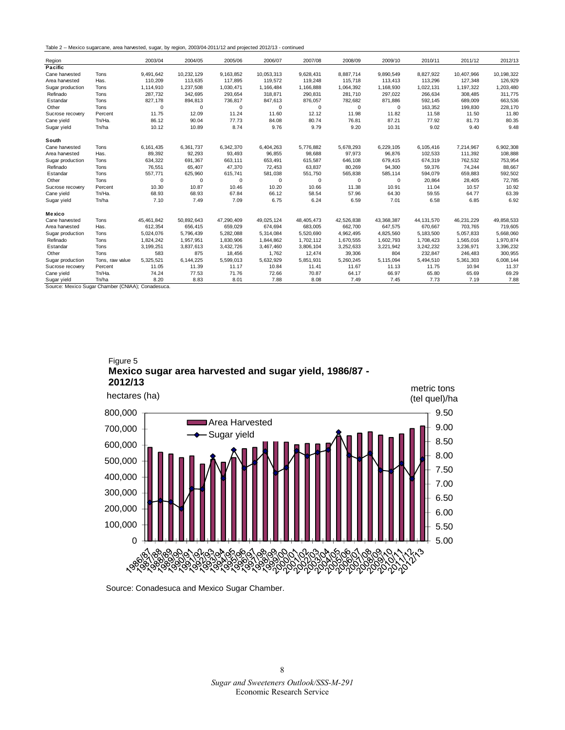Table 2 -- Mexico sugarcane, area harvested, sugar, by region, 2003/04-2011/12 and projected 2012/13 - continued

| Region           |                 | 2003/04    | 2004/05     | 2005/06    | 2006/07    | 2007/08    | 2008/09    | 2009/10     | 2010/11      | 2011/12    | 2012/13    |
|------------------|-----------------|------------|-------------|------------|------------|------------|------------|-------------|--------------|------------|------------|
| Pacific          |                 |            |             |            |            |            |            |             |              |            |            |
| Cane harvested   | Tons            | 9,491,642  | 10,232,129  | 9,163,852  | 10,053,313 | 9,628,431  | 8,887,714  | 9,890,549   | 8,827,922    | 10,407,966 | 10,198,322 |
| Area harvested   | Has.            | 110,209    | 113,635     | 117,895    | 119,572    | 119,248    | 115,718    | 113,413     | 113,296      | 127,348    | 126,929    |
| Sugar production | Tons            | 1,114,910  | 1,237,508   | 1,030,471  | 1,166,484  | 1,166,888  | 1,064,392  | 1,168,930   | 1,022,131    | 1,197,322  | 1,203,480  |
| Refinado         | Tons            | 287,732    | 342,695     | 293,654    | 318,871    | 290,831    | 281,710    | 297,022     | 266,634      | 308,485    | 311,775    |
| Estandar         | Tons            | 827.178    | 894,813     | 736,817    | 847,613    | 876,057    | 782,682    | 871,886     | 592,145      | 689,009    | 663,536    |
| Other            | Tons            | 0          | $\mathbf 0$ | $\Omega$   | $\Omega$   | 0          | 0          | $\Omega$    | 163,352      | 199,830    | 228,170    |
| Sucrose recovery | Percent         | 11.75      | 12.09       | 11.24      | 11.60      | 12.12      | 11.98      | 11.82       | 11.58        | 11.50      | 11.80      |
| Cane yield       | Tn/Ha.          | 86.12      | 90.04       | 77.73      | 84.08      | 80.74      | 76.81      | 87.21       | 77.92        | 81.73      | 80.35      |
| Sugar yield      | Tn/ha           | 10.12      | 10.89       | 8.74       | 9.76       | 9.79       | 9.20       | 10.31       | 9.02         | 9.40       | 9.48       |
| South            |                 |            |             |            |            |            |            |             |              |            |            |
| Cane harvested   | Tons            | 6,161,435  | 6,361,737   | 6,342,370  | 6,404,263  | 5,776,882  | 5,678,293  | 6,229,105   | 6,105,416    | 7,214,967  | 6,902,308  |
| Area harvested   | Has.            | 89,392     | 92,293      | 93,493     | 96,855     | 98,688     | 97,973     | 96,876      | 102,533      | 111,392    | 108,888    |
| Sugar production | Tons            | 634,322    | 691,367     | 663,111    | 653,491    | 615,587    | 646,108    | 679,415     | 674,319      | 762,532    | 753,954    |
| Refinado         | Tons            | 76,551     | 65,407      | 47,370     | 72,453     | 63,837     | 80,269     | 94,300      | 59,376       | 74,244     | 88,667     |
| Estandar         | Tons            | 557,771    | 625,960     | 615,741    | 581,038    | 551,750    | 565,838    | 585,114     | 594,079      | 659,883    | 592,502    |
| Other            | Tons            | 0          | $\mathbf 0$ | 0          | 0          | 0          | 0          | $\mathbf 0$ | 20,864       | 28,405     | 72,785     |
| Sucrose recovery | Percent         | 10.30      | 10.87       | 10.46      | 10.20      | 10.66      | 11.38      | 10.91       | 11.04        | 10.57      | 10.92      |
| Cane yield       | Tn/Ha.          | 68.93      | 68.93       | 67.84      | 66.12      | 58.54      | 57.96      | 64.30       | 59.55        | 64.77      | 63.39      |
| Sugar yield      | Tn/ha           | 7.10       | 7.49        | 7.09       | 6.75       | 6.24       | 6.59       | 7.01        | 6.58         | 6.85       | 6.92       |
| Mexico           |                 |            |             |            |            |            |            |             |              |            |            |
| Cane harvested   | Tons            | 45,461,842 | 50,892,643  | 47,290,409 | 49,025,124 | 48,405,473 | 42,526,838 | 43,368,387  | 44, 131, 570 | 46,231,229 | 49,858,533 |
| Area harvested   | Has.            | 612,354    | 656,415     | 659,029    | 674.694    | 683,005    | 662.700    | 647.575     | 670.667      | 703.765    | 719,605    |
| Sugar production | Tons            | 5.024.076  | 5,796,439   | 5,282,088  | 5.314.084  | 5.520.690  | 4,962,495  | 4.825.560   | 5.183.500    | 5.057.833  | 5,668,060  |
| Refinado         | Tons            | 1.824.242  | 1,957,951   | 1,830,906  | 1,844,862  | 1,702,112  | 1,670,555  | 1.602.793   | 1,708,423    | 1,565,016  | 1,970,874  |
| Estandar         | Tons            | 3,199,251  | 3,837,613   | 3,432,726  | 3,467,460  | 3,806,104  | 3,252,633  | 3,221,942   | 3,242,232    | 3,236,971  | 3,396,232  |
| Other            | Tons            | 583        | 875         | 18,456     | 1,762      | 12,474     | 39,306     | 804         | 232,847      | 246,483    | 300,955    |
| Sugar production | Tons, raw value | 5,325,521  | 6,144,225   | 5,599,013  | 5,632,929  | 5,851,931  | 5,260,245  | 5,115,094   | 5,494,510    | 5,361,303  | 6,008,144  |
| Sucrose recovery | Percent         | 11.05      | 11.39       | 11.17      | 10.84      | 11.41      | 11.67      | 11.13       | 11.75        | 10.94      | 11.37      |
| Cane yield       | Tn/Ha.          | 74.24      | 77.53       | 71.76      | 72.66      | 70.87      | 64.17      | 66.97       | 65.80        | 65.69      | 69.29      |
| Sugar yield      | Tn/ha           | 8.20       | 8.83        | 8.01       | 7.88       | 8.08       | 7.49       | 7.45        | 7.73         | 7.19       | 7.88       |

Source: Mexico Sugar Chamber (CNIAA); Conadesuca.

Figure 5 **Mexico sugar area harvested and sugar yield, 1986/87 - 2012/13**



Source: Conadesuca and Mexico Sugar Chamber.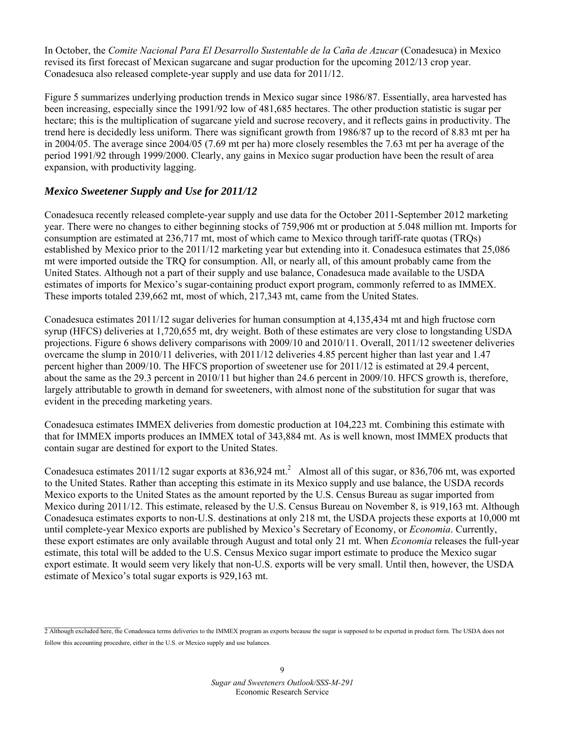In October, the *Comite Nacional Para El Desarrollo Sustentable de la Caña de Azucar* (Conadesuca) in Mexico revised its first forecast of Mexican sugarcane and sugar production for the upcoming 2012/13 crop year. Conadesuca also released complete-year supply and use data for 2011/12.

Figure 5 summarizes underlying production trends in Mexico sugar since 1986/87. Essentially, area harvested has been increasing, especially since the 1991/92 low of 481,685 hectares. The other production statistic is sugar per hectare; this is the multiplication of sugarcane yield and sucrose recovery, and it reflects gains in productivity. The trend here is decidedly less uniform. There was significant growth from 1986/87 up to the record of 8.83 mt per ha in 2004/05. The average since 2004/05 (7.69 mt per ha) more closely resembles the 7.63 mt per ha average of the period 1991/92 through 1999/2000. Clearly, any gains in Mexico sugar production have been the result of area expansion, with productivity lagging.

#### *Mexico Sweetener Supply and Use for 2011/12*

Conadesuca recently released complete-year supply and use data for the October 2011-September 2012 marketing year. There were no changes to either beginning stocks of 759,906 mt or production at 5.048 million mt. Imports for consumption are estimated at 236,717 mt, most of which came to Mexico through tariff-rate quotas (TRQs) established by Mexico prior to the 2011/12 marketing year but extending into it. Conadesuca estimates that 25,086 mt were imported outside the TRQ for consumption. All, or nearly all, of this amount probably came from the United States. Although not a part of their supply and use balance, Conadesuca made available to the USDA estimates of imports for Mexico's sugar-containing product export program, commonly referred to as IMMEX. These imports totaled 239,662 mt, most of which, 217,343 mt, came from the United States.

Conadesuca estimates 2011/12 sugar deliveries for human consumption at 4,135,434 mt and high fructose corn syrup (HFCS) deliveries at 1,720,655 mt, dry weight. Both of these estimates are very close to longstanding USDA projections. Figure 6 shows delivery comparisons with 2009/10 and 2010/11. Overall, 2011/12 sweetener deliveries overcame the slump in 2010/11 deliveries, with 2011/12 deliveries 4.85 percent higher than last year and 1.47 percent higher than 2009/10. The HFCS proportion of sweetener use for 2011/12 is estimated at 29.4 percent, about the same as the 29.3 percent in 2010/11 but higher than 24.6 percent in 2009/10. HFCS growth is, therefore, largely attributable to growth in demand for sweeteners, with almost none of the substitution for sugar that was evident in the preceding marketing years.

Conadesuca estimates IMMEX deliveries from domestic production at 104,223 mt. Combining this estimate with that for IMMEX imports produces an IMMEX total of 343,884 mt. As is well known, most IMMEX products that contain sugar are destined for export to the United States.

Conadesuca estimates  $2011/12$  sugar exports at 836,924 mt.<sup>2</sup> Almost all of this sugar, or 836,706 mt, was exported to the United States. Rather than accepting this estimate in its Mexico supply and use balance, the USDA records Mexico exports to the United States as the amount reported by the U.S. Census Bureau as sugar imported from Mexico during 2011/12. This estimate, released by the U.S. Census Bureau on November 8, is 919,163 mt. Although Conadesuca estimates exports to non-U.S. destinations at only 218 mt, the USDA projects these exports at 10,000 mt until complete-year Mexico exports are published by Mexico's Secretary of Economy, or *Economia*. Currently, these export estimates are only available through August and total only 21 mt. When *Economia* releases the full-year estimate, this total will be added to the U.S. Census Mexico sugar import estimate to produce the Mexico sugar export estimate. It would seem very likely that non-U.S. exports will be very small. Until then, however, the USDA estimate of Mexico's total sugar exports is 929,163 mt.

<sup>2</sup> Although excluded here, the Conadesuca terms deliveries to the IMMEX program as exports because the sugar is supposed to be exported in product form. The USDA does not follow this accounting procedure, either in the U.S. or Mexico supply and use balances.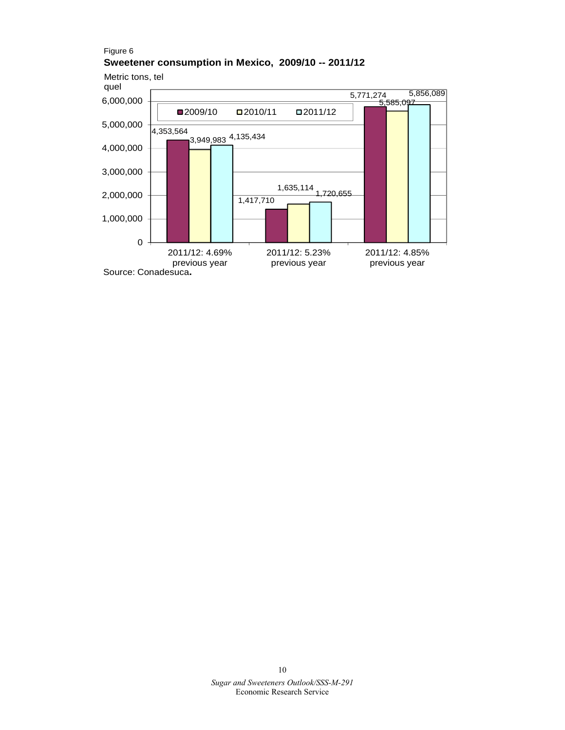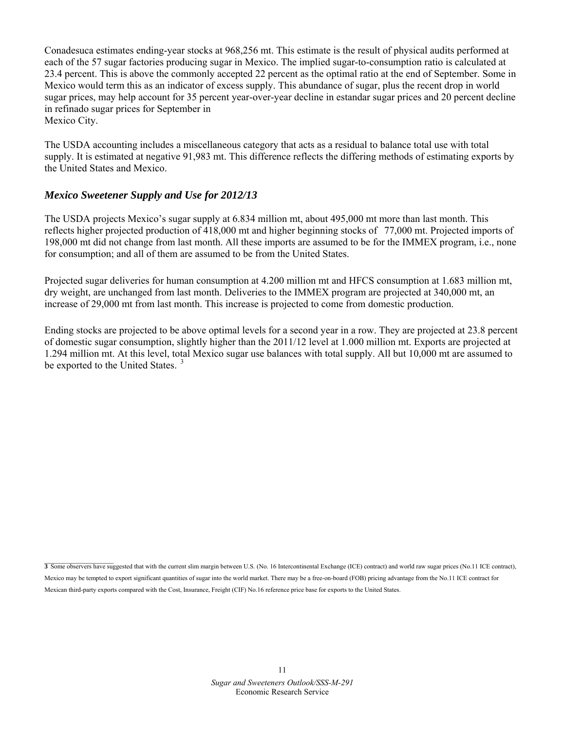Conadesuca estimates ending-year stocks at 968,256 mt. This estimate is the result of physical audits performed at each of the 57 sugar factories producing sugar in Mexico. The implied sugar-to-consumption ratio is calculated at 23.4 percent. This is above the commonly accepted 22 percent as the optimal ratio at the end of September. Some in Mexico would term this as an indicator of excess supply. This abundance of sugar, plus the recent drop in world sugar prices, may help account for 35 percent year-over-year decline in estandar sugar prices and 20 percent decline in refinado sugar prices for September in Mexico City.

The USDA accounting includes a miscellaneous category that acts as a residual to balance total use with total supply. It is estimated at negative 91,983 mt. This difference reflects the differing methods of estimating exports by the United States and Mexico.

#### *Mexico Sweetener Supply and Use for 2012/13*

The USDA projects Mexico's sugar supply at 6.834 million mt, about 495,000 mt more than last month. This reflects higher projected production of 418,000 mt and higher beginning stocks of77,000 mt. Projected imports of 198,000 mt did not change from last month. All these imports are assumed to be for the IMMEX program, i.e., none for consumption; and all of them are assumed to be from the United States.

Projected sugar deliveries for human consumption at 4.200 million mt and HFCS consumption at 1.683 million mt, dry weight, are unchanged from last month. Deliveries to the IMMEX program are projected at 340,000 mt, an increase of 29,000 mt from last month. This increase is projected to come from domestic production.

Ending stocks are projected to be above optimal levels for a second year in a row. They are projected at 23.8 percent of domestic sugar consumption, slightly higher than the 2011/12 level at 1.000 million mt. Exports are projected at 1.294 million mt. At this level, total Mexico sugar use balances with total supply. All but 10,000 mt are assumed to be exported to the United States.<sup>3</sup>

**3** Some observers have suggested that with the current slim margin between U.S. (No. 16 Intercontinental Exchange (ICE) contract) and world raw sugar prices (No.11 ICE contract), Mexico may be tempted to export significant quantities of sugar into the world market. There may be a free-on-board (FOB) pricing advantage from the No.11 ICE contract for Mexican third-party exports compared with the Cost, Insurance, Freight (CIF) No.16 reference price base for exports to the United States.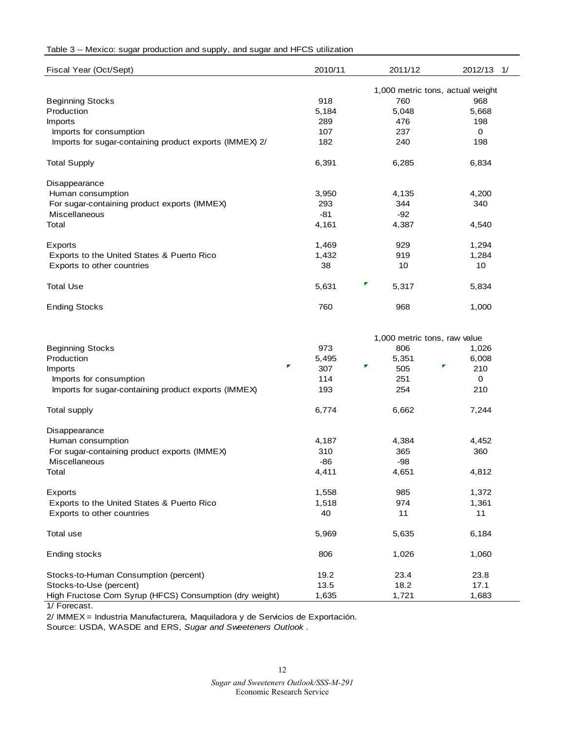#### Table 3 -- Mexico: sugar production and supply, and sugar and HFCS utilization

| Fiscal Year (Oct/Sept)                                  | 2010/11 | 2011/12                          | 2012/13<br>1/ |
|---------------------------------------------------------|---------|----------------------------------|---------------|
|                                                         |         | 1,000 metric tons, actual weight |               |
| <b>Beginning Stocks</b>                                 | 918     | 760                              | 968           |
| Production                                              | 5,184   | 5,048                            | 5,668         |
| <b>Imports</b>                                          | 289     | 476                              | 198           |
| Imports for consumption                                 | 107     | 237                              | 0             |
| Imports for sugar-containing product exports (IMMEX) 2/ | 182     | 240                              | 198           |
| <b>Total Supply</b>                                     | 6,391   | 6,285                            | 6,834         |
| Disappearance                                           |         |                                  |               |
| Human consumption                                       | 3,950   | 4,135                            | 4,200         |
| For sugar-containing product exports (IMMEX)            | 293     | 344                              | 340           |
| <b>Miscellaneous</b>                                    | -81     | $-92$                            |               |
| Total                                                   | 4,161   | 4,387                            | 4,540         |
| Exports                                                 | 1,469   | 929                              | 1,294         |
| Exports to the United States & Puerto Rico              | 1,432   | 919                              | 1,284         |
| Exports to other countries                              | 38      | 10                               | 10            |
| <b>Total Use</b>                                        | 5,631   | ۳<br>5,317                       | 5,834         |
| <b>Ending Stocks</b>                                    | 760     | 968                              | 1,000         |

|                                                          |       | 1,000 metric tons, raw value |          |  |  |
|----------------------------------------------------------|-------|------------------------------|----------|--|--|
| <b>Beginning Stocks</b>                                  | 973   | 806                          | 1,026    |  |  |
| Production                                               | 5,495 | 5,351                        | 6,008    |  |  |
| F<br><b>Imports</b>                                      | 307   | Г<br>505                     | Г<br>210 |  |  |
| Imports for consumption                                  | 114   | 251                          | $\Omega$ |  |  |
| Imports for sugar-containing product exports (IMMEX)     | 193   | 254                          | 210      |  |  |
| Total supply                                             | 6,774 | 6,662                        | 7,244    |  |  |
| Disappearance                                            |       |                              |          |  |  |
| Human consumption                                        | 4,187 | 4,384                        | 4,452    |  |  |
| For sugar-containing product exports (IMMEX)             | 310   | 365                          | 360      |  |  |
| <b>Miscellaneous</b>                                     | $-86$ | -98                          |          |  |  |
| Total                                                    | 4,411 | 4,651                        | 4,812    |  |  |
| Exports                                                  | 1,558 | 985                          | 1,372    |  |  |
| Exports to the United States & Puerto Rico               | 1,518 | 974                          | 1,361    |  |  |
| Exports to other countries                               | 40    | 11                           | 11       |  |  |
| Total use                                                | 5,969 | 5,635                        | 6,184    |  |  |
| Ending stocks                                            | 806   | 1,026                        | 1,060    |  |  |
| Stocks-to-Human Consumption (percent)                    | 19.2  | 23.4                         | 23.8     |  |  |
| Stocks-to-Use (percent)                                  | 13.5  | 18.2                         | 17.1     |  |  |
| High Fructose Corn Syrup (HFCS) Consumption (dry weight) | 1,635 | 1,721                        | 1,683    |  |  |

1/ Forecast.

2/ IMMEX = Industria Manufacturera, Maquiladora y de Servicios de Exportación.

Source: USDA, WASDE and ERS, *Sugar and Sweeteners Outlook* .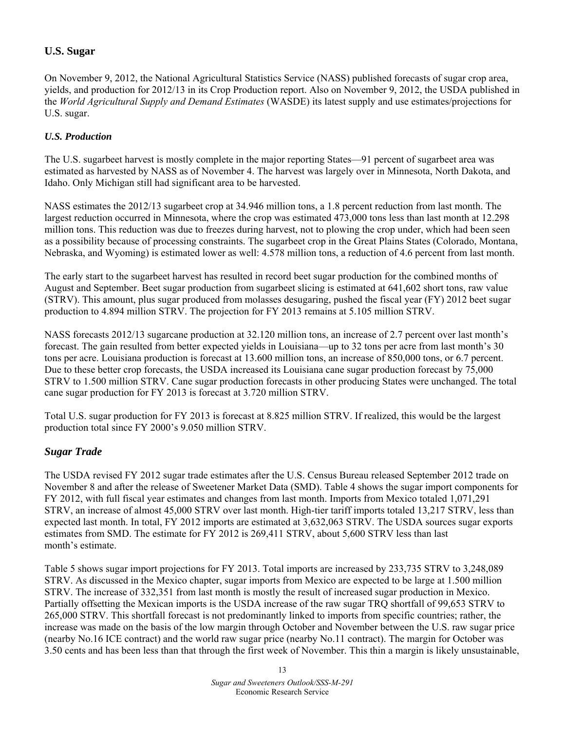## **U.S. Sugar**

On November 9, 2012, the National Agricultural Statistics Service (NASS) published forecasts of sugar crop area, yields, and production for 2012/13 in its Crop Production report. Also on November 9, 2012, the USDA published in the *World Agricultural Supply and Demand Estimates* (WASDE) its latest supply and use estimates/projections for U.S. sugar.

#### *U.S. Production*

The U.S. sugarbeet harvest is mostly complete in the major reporting States—91 percent of sugarbeet area was estimated as harvested by NASS as of November 4. The harvest was largely over in Minnesota, North Dakota, and Idaho. Only Michigan still had significant area to be harvested.

NASS estimates the 2012/13 sugarbeet crop at 34.946 million tons, a 1.8 percent reduction from last month. The largest reduction occurred in Minnesota, where the crop was estimated 473,000 tons less than last month at 12.298 million tons. This reduction was due to freezes during harvest, not to plowing the crop under, which had been seen as a possibility because of processing constraints. The sugarbeet crop in the Great Plains States (Colorado, Montana, Nebraska, and Wyoming) is estimated lower as well: 4.578 million tons, a reduction of 4.6 percent from last month.

The early start to the sugarbeet harvest has resulted in record beet sugar production for the combined months of August and September. Beet sugar production from sugarbeet slicing is estimated at 641,602 short tons, raw value (STRV). This amount, plus sugar produced from molasses desugaring, pushed the fiscal year (FY) 2012 beet sugar production to 4.894 million STRV. The projection for FY 2013 remains at 5.105 million STRV.

NASS forecasts 2012/13 sugarcane production at 32.120 million tons, an increase of 2.7 percent over last month's forecast. The gain resulted from better expected yields in Louisiana—up to 32 tons per acre from last month's 30 tons per acre. Louisiana production is forecast at 13.600 million tons, an increase of 850,000 tons, or 6.7 percent. Due to these better crop forecasts, the USDA increased its Louisiana cane sugar production forecast by 75,000 STRV to 1.500 million STRV. Cane sugar production forecasts in other producing States were unchanged. The total cane sugar production for FY 2013 is forecast at 3.720 million STRV.

Total U.S. sugar production for FY 2013 is forecast at 8.825 million STRV. If realized, this would be the largest production total since FY 2000's 9.050 million STRV.

## *Sugar Trade*

The USDA revised FY 2012 sugar trade estimates after the U.S. Census Bureau released September 2012 trade on November 8 and after the release of Sweetener Market Data (SMD). Table 4 shows the sugar import components for FY 2012, with full fiscal year estimates and changes from last month. Imports from Mexico totaled 1,071,291 STRV, an increase of almost 45,000 STRV over last month. High-tier tariff imports totaled 13,217 STRV, less than expected last month. In total, FY 2012 imports are estimated at 3,632,063 STRV. The USDA sources sugar exports estimates from SMD. The estimate for FY 2012 is 269,411 STRV, about 5,600 STRV less than last month's estimate.

Table 5 shows sugar import projections for FY 2013. Total imports are increased by 233,735 STRV to 3,248,089 STRV. As discussed in the Mexico chapter, sugar imports from Mexico are expected to be large at 1.500 million STRV. The increase of 332,351 from last month is mostly the result of increased sugar production in Mexico. Partially offsetting the Mexican imports is the USDA increase of the raw sugar TRQ shortfall of 99,653 STRV to 265,000 STRV. This shortfall forecast is not predominantly linked to imports from specific countries; rather, the increase was made on the basis of the low margin through October and November between the U.S. raw sugar price (nearby No.16 ICE contract) and the world raw sugar price (nearby No.11 contract). The margin for October was 3.50 cents and has been less than that through the first week of November. This thin a margin is likely unsustainable,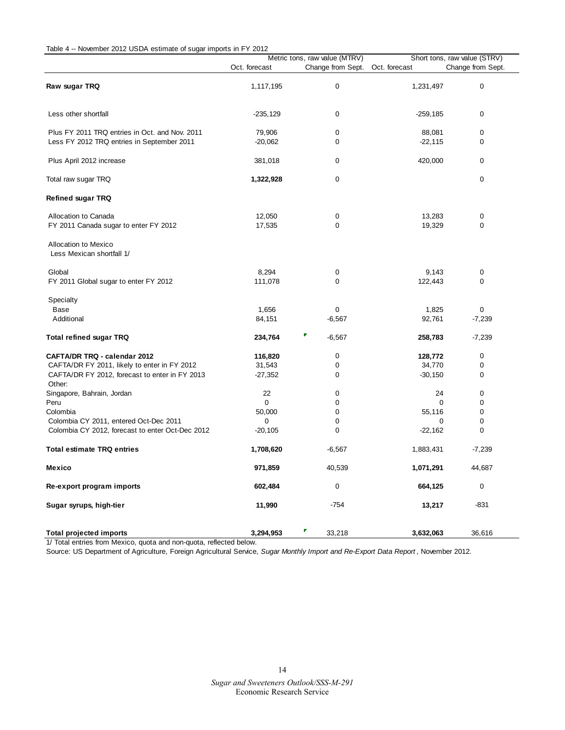| Table 4 -- November 2012 USDA estimate of sugar imports in FY 2012 |  |
|--------------------------------------------------------------------|--|

| <b>NOVEMBER 2012 OODIN</b> COMMAND OF Jugar Imports In Fig. 2012 |               | Metric tons, raw value (MTRV)   | Short tons, raw value (STRV) |          |  |
|------------------------------------------------------------------|---------------|---------------------------------|------------------------------|----------|--|
|                                                                  | Oct. forecast | Change from Sept. Oct. forecast | Change from Sept.            |          |  |
|                                                                  |               |                                 |                              |          |  |
| Raw sugar TRQ                                                    | 1,117,195     | 0                               | 1,231,497                    | 0        |  |
|                                                                  |               |                                 |                              |          |  |
| Less other shortfall                                             | $-235,129$    | 0                               | $-259,185$                   | 0        |  |
| Plus FY 2011 TRQ entries in Oct. and Nov. 2011                   | 79,906        | 0                               | 88,081                       | 0        |  |
| Less FY 2012 TRQ entries in September 2011                       | $-20,062$     | 0                               | $-22,115$                    | 0        |  |
| Plus April 2012 increase                                         | 381,018       | 0                               | 420,000                      | 0        |  |
| Total raw sugar TRQ                                              | 1,322,928     | 0                               |                              | 0        |  |
| <b>Refined sugar TRQ</b>                                         |               |                                 |                              |          |  |
| Allocation to Canada                                             | 12,050        | 0                               | 13,283                       | 0        |  |
| FY 2011 Canada sugar to enter FY 2012                            | 17,535        | 0                               | 19,329                       | 0        |  |
| <b>Allocation to Mexico</b><br>Less Mexican shortfall 1/         |               |                                 |                              |          |  |
| Global                                                           | 8,294         | 0                               | 9,143                        | 0        |  |
| FY 2011 Global sugar to enter FY 2012                            | 111,078       | 0                               | 122,443                      | 0        |  |
| Specialty                                                        |               |                                 |                              |          |  |
| Base                                                             | 1,656         | 0                               | 1,825                        | 0        |  |
| Additional                                                       | 84,151        | $-6,567$                        | 92,761                       | $-7,239$ |  |
| <b>Total refined sugar TRQ</b>                                   | 234,764       | $-6,567$                        | 258,783                      | $-7,239$ |  |
| <b>CAFTA/DR TRQ - calendar 2012</b>                              | 116,820       | 0                               | 128,772                      | 0        |  |
| CAFTA/DR FY 2011, likely to enter in FY 2012                     | 31,543        | 0                               | 34,770                       | 0        |  |
| CAFTA/DR FY 2012, forecast to enter in FY 2013<br>Other:         | $-27,352$     | 0                               | $-30,150$                    | 0        |  |
| Singapore, Bahrain, Jordan                                       | 22            | 0                               | 24                           | 0        |  |
| Peru                                                             | 0             | 0                               | 0                            | 0        |  |
| Colombia                                                         | 50,000        | $\mathbf 0$                     | 55,116                       | 0        |  |
| Colombia CY 2011, entered Oct-Dec 2011                           | 0             | 0                               | 0                            | 0        |  |
| Colombia CY 2012, forecast to enter Oct-Dec 2012                 | $-20,105$     | 0                               | $-22,162$                    | 0        |  |
| <b>Total estimate TRQ entries</b>                                | 1,708,620     | $-6,567$                        | 1,883,431                    | $-7,239$ |  |
| Mexico                                                           | 971,859       | 40,539                          | 1,071,291                    | 44,687   |  |
| Re-export program imports                                        | 602,484       | 0                               | 664,125                      | 0        |  |
| Sugar syrups, high-tier                                          | 11,990        | $-754$                          | 13,217                       | $-831$   |  |
| <b>Total projected imports</b>                                   | 3,294,953     | 33,218                          | 3,632,063                    | 36,616   |  |

1/ Total entries from Mexico, quota and non-quota, reflected below.

Source: US Department of Agriculture, Foreign Agricultural Service, *Sugar Monthly Import and Re-Export Data Report* , November 2012.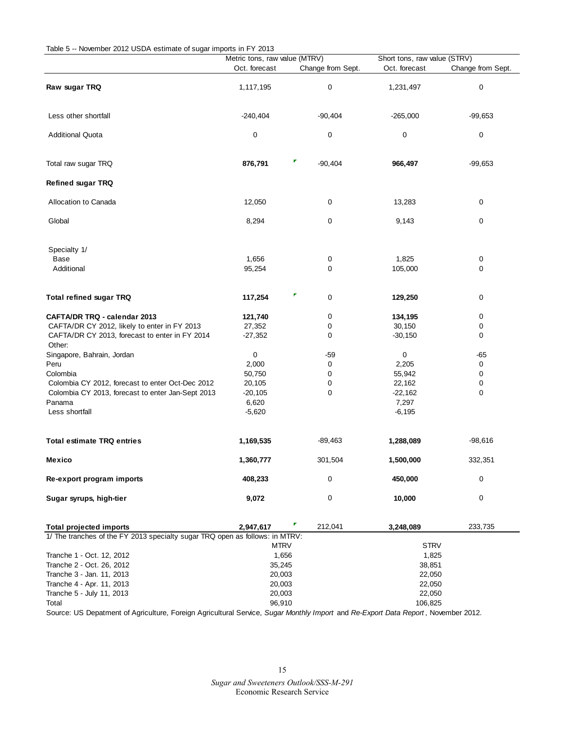| Table 5 -- November 2012 USDA estimate of sugar imports in FY 2013           |                               |                   |                              |                   |  |  |
|------------------------------------------------------------------------------|-------------------------------|-------------------|------------------------------|-------------------|--|--|
|                                                                              | Metric tons, raw value (MTRV) |                   | Short tons, raw value (STRV) |                   |  |  |
|                                                                              | Oct. forecast                 | Change from Sept. | Oct. forecast                | Change from Sept. |  |  |
| Raw sugar TRQ                                                                | 1,117,195                     | 0                 | 1,231,497                    | 0                 |  |  |
| Less other shortfall                                                         | $-240,404$                    | $-90,404$         | $-265,000$                   | $-99,653$         |  |  |
| <b>Additional Quota</b>                                                      | 0                             | 0                 | 0                            | 0                 |  |  |
| Total raw sugar TRQ                                                          | 876,791                       | ۳<br>$-90,404$    | 966,497                      | $-99,653$         |  |  |
| <b>Refined sugar TRQ</b>                                                     |                               |                   |                              |                   |  |  |
| Allocation to Canada                                                         | 12,050                        | 0                 | 13,283                       | 0                 |  |  |
| Global                                                                       | 8,294                         | 0                 | 9,143                        | 0                 |  |  |
| Specialty 1/                                                                 |                               |                   |                              |                   |  |  |
| Base                                                                         | 1,656                         | 0                 | 1,825                        | 0                 |  |  |
| Additional                                                                   | 95,254                        | 0                 | 105,000                      | 0                 |  |  |
| <b>Total refined sugar TRQ</b>                                               | 117,254                       | τ<br>0            | 129,250                      | 0                 |  |  |
| CAFTA/DR TRQ - calendar 2013                                                 | 121,740                       | 0                 | 134,195                      | 0                 |  |  |
| CAFTA/DR CY 2012, likely to enter in FY 2013                                 | 27,352                        | 0                 | 30,150                       | 0                 |  |  |
| CAFTA/DR CY 2013, forecast to enter in FY 2014<br>Other:                     | $-27,352$                     | 0                 | $-30,150$                    | 0                 |  |  |
| Singapore, Bahrain, Jordan                                                   | 0                             | -59               | 0                            | $-65$             |  |  |
| Peru                                                                         | 2,000                         | 0                 | 2,205                        | 0                 |  |  |
| Colombia                                                                     | 50,750                        | 0                 | 55,942                       | 0                 |  |  |
| Colombia CY 2012, forecast to enter Oct-Dec 2012                             | 20,105                        | 0                 | 22,162                       | 0                 |  |  |
| Colombia CY 2013, forecast to enter Jan-Sept 2013                            | $-20,105$                     | 0                 | $-22,162$                    | 0                 |  |  |
| Panama                                                                       | 6,620                         |                   | 7,297                        |                   |  |  |
| Less shortfall                                                               | $-5,620$                      |                   | $-6,195$                     |                   |  |  |
| <b>Total estimate TRQ entries</b>                                            | 1,169,535                     | -89,463           | 1,288,089                    | $-98,616$         |  |  |
| Mexico                                                                       | 1,360,777                     | 301,504           | 1,500,000                    | 332,351           |  |  |
| Re-export program imports                                                    | 408,233                       | 0                 | 450,000                      | 0                 |  |  |
| Sugar syrups, high-tier                                                      | 9,072                         | 0                 | 10,000                       | 0                 |  |  |
| <b>Total projected imports</b>                                               | 2,947,617                     | ۳<br>212,041      | 3,248,089                    | 233,735           |  |  |
| 1/ The tranches of the FY 2013 specialty sugar TRQ open as follows: in MTRV: |                               |                   |                              |                   |  |  |
|                                                                              | <b>MTRV</b>                   |                   | <b>STRV</b>                  |                   |  |  |
| Tranche 1 - Oct. 12, 2012                                                    | 1,656                         |                   | 1,825                        |                   |  |  |
| Tranche 2 - Oct. 26, 2012                                                    | 35,245                        |                   | 38,851                       |                   |  |  |
| Tranche 3 - Jan. 11, 2013                                                    | 20,003                        |                   | 22,050                       |                   |  |  |
| Tranche 4 - Apr. 11, 2013                                                    | 20,003                        |                   | 22,050                       |                   |  |  |
| Tranche 5 - July 11, 2013                                                    | 20,003                        |                   | 22,050                       |                   |  |  |
| Total                                                                        | 96,910                        |                   | 106,825                      |                   |  |  |

Source: US Depatment of Agriculture, Foreign Agricultural Service, *Sugar Monthly Import* and *Re-Export Data Report* , November 2012.

#### *Sugar and Sweeteners Outlook/SSS-M-291* Economic Research Service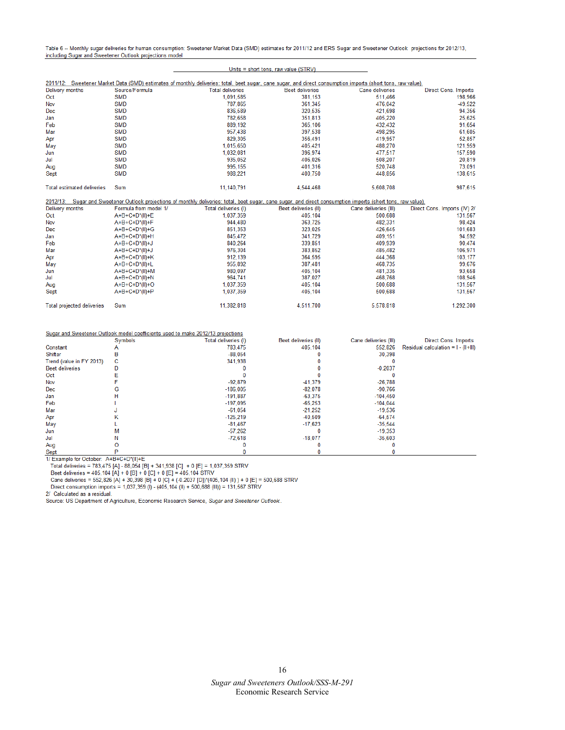Table 6 -- Monthly sugar deliveries for human consumption: Sweetener Market Data (SMD) estimates for 2011/12 and ERS Sugar and Sweetener Outlook projections for 2012/13, including Sugar and Sweetener Outlook projections model

#### Units = short tons, raw value (STRV)

|                                   |                       | 2011/12: Sweetener Market Data (SMD) estimates of monthly deliveries: total, beet sugar, cane sugar, and direct consumption imports (short tons, raw value)    |                        |                        |                              |
|-----------------------------------|-----------------------|----------------------------------------------------------------------------------------------------------------------------------------------------------------|------------------------|------------------------|------------------------------|
| Delivery months                   | Source/Formula        | <b>Total deliveries</b>                                                                                                                                        | <b>Beet deliveries</b> | <b>Cane deliveries</b> | <b>Direct Cons. Imports</b>  |
| Oct                               | <b>SMD</b>            | 1,091,585                                                                                                                                                      | 381,153                | 511,466                | 198,966                      |
| Nov                               | <b>SMD</b>            | 787.865                                                                                                                                                        | 361.345                | 476,042                | $-49,522$                    |
| Dec                               | <b>SMD</b>            | 836,589                                                                                                                                                        | 320.535                | 421.698                | 94,356                       |
| Jan                               | <b>SMD</b>            | 782.658                                                                                                                                                        | 351.813                | 405,220                | 25,625                       |
| Feb                               | <b>SMD</b>            | 889,192                                                                                                                                                        | 365,106                | 432,432                | 91,654                       |
| Mar                               | <b>SMD</b>            | 957,438                                                                                                                                                        | 397,538                | 498,295                | 61,605                       |
| Apr                               | <b>SMD</b>            | 829,305                                                                                                                                                        | 356,491                | 419,957                | 52,857                       |
| May                               | <b>SMD</b>            | 1.015.650                                                                                                                                                      | 405.421                | 488,270                | 121,959                      |
| Jun                               | <b>SMD</b>            | 1,032,081                                                                                                                                                      | 396.974                | 477,517                | 157,590                      |
| Jul                               | <b>SMD</b>            | 935.052                                                                                                                                                        | 406.026                | 508,207                | 20,819                       |
| Aug                               | <b>SMD</b>            | 995,155                                                                                                                                                        | 401,316                | 520,748                | 73,091                       |
| Sept                              | <b>SMD</b>            | 988,221                                                                                                                                                        | 400,750                | 448,856                | 138,615                      |
| <b>Total estimated deliveries</b> | Sum                   | 11,140,791                                                                                                                                                     | 4,544,468              | 5,608,708              | 987.615                      |
|                                   |                       | 2012/13: Sugar and Sweetener Outlook projections of monthly deliveries: total, beet sugar, cane sugar, and direct consumption imports (short tons, raw value). |                        |                        |                              |
| Delivery months                   | Formula from model 1/ | Total deliveries (I)                                                                                                                                           | Beet deliveries (II)   | Cane deliveries (III)  | Direct Cons. Imports (IV) 2/ |
| Oct                               | A+B+C+D*(II)+E        | 1,037,359                                                                                                                                                      | 405,104                | 500,688                | 131,567                      |
| Nov                               | A+B+C+D*(II)+F        | 944,480                                                                                                                                                        | 363,725                | 482,331                | 98,424                       |
| Dec                               | A+B+C+D*(II)+G        | 851,353                                                                                                                                                        | 323,025                | 426,645                | 101,683                      |
| Jan                               | A+B+C+D*(II)+H        | 845,472                                                                                                                                                        | 341.729                | 409.151                | 94,592                       |
| Feb                               | A+B+C+D*(II)+J        | 840.264                                                                                                                                                        | 339.851                | 409.939                | 90,474                       |
| Mar                               | A+B+C+D*(II)+J        | 976,304                                                                                                                                                        | 383.852                | 485.482                | 106,971                      |
| Apr                               | A+B+C+D*(II)+K        | 912,139                                                                                                                                                        | 364,595                | 444,368                | 103,177                      |
| May                               | A+B+C+D*(II)+L        | 955,892                                                                                                                                                        | 387,481                | 468,735                | 99,676                       |
| Jun                               | A+B+C+D*(II)+M        | 980,097                                                                                                                                                        | 405,104                | 481,335                | 93,658                       |
| Jul                               | A+B+C+D*(II)+N        | 964,741                                                                                                                                                        | 387.027                | 468,768                | 108,946                      |
| Aug                               | A+B+C+D*(II)+O        | 1.037.359                                                                                                                                                      | 405.104                | 500,688                | 131,567                      |
| Sept                              | A+B+C+D*(II)+P        | 1.037.359                                                                                                                                                      | 405.104                | 500,688                | 131,567                      |
|                                   |                       |                                                                                                                                                                |                        |                        |                              |

|                          |         | Sugar and Sweetener Outlook model coefficients used to make 2012/13 projections |                      |                       |                                         |
|--------------------------|---------|---------------------------------------------------------------------------------|----------------------|-----------------------|-----------------------------------------|
|                          | Symbols | Total deliveries (I)                                                            | Beet deliveries (II) | Cane deliveries (III) | <b>Direct Cons. Imports</b>             |
| Constant                 |         | 783,475                                                                         | 405,104              | 552,826               | Residual calculation = $I - (II + III)$ |
| Shifter                  |         | $-88.054$                                                                       |                      | 30,398                |                                         |
| Trend (value in FY 2013) | c       | 341,938                                                                         |                      |                       |                                         |
| <b>Beet deliveries</b>   |         |                                                                                 |                      | $-0.2037$             |                                         |
| Oct                      |         |                                                                                 |                      |                       |                                         |
| Nov                      |         | $-92.879$                                                                       | $-41,379$            | $-26,788$             |                                         |
| Dec                      | G       | $-186,005$                                                                      | $-82.078$            | $-90,766$             |                                         |
| Jan                      |         | $-191.887$                                                                      | $-63,375$            | $-104.450$            |                                         |
| Feb                      |         | $-197.095$                                                                      | $-65,253$            | $-104.044$            |                                         |
| Mar                      |         | $-61.054$                                                                       | $-21,252$            | $-19,536$             |                                         |
| Apr                      | κ       | $-125,219$                                                                      | $-40,509$            | $-64,574$             |                                         |
| May                      |         | $-81,467$                                                                       | $-17,623$            | $-35.544$             |                                         |
| Jun                      | м       | $-57.262$                                                                       |                      | $-19,353$             |                                         |
| Jul                      |         | $-72.618$                                                                       | $-18.077$            | $-35,603$             |                                         |
| Aug                      |         |                                                                                 |                      |                       |                                         |
| $\mathbf{C}$             |         |                                                                                 |                      |                       |                                         |

Sept produces and the COCODET. A+B+C+D\*(II)+E<br>
Total deliveries = 783,475 [A] - 88,054 [B] + 341,938 [C] + 0 [E] = 1,037,359 STRV<br>
Beet deliveries = 405,104 [A] + 0 [B] + 0 [C] + 0 [E] = 405,104 STRV<br>
Cane deliveries = 55

2/ Calculated as a residual.

Source: US Department of Agriculture, Economic Research Service, Sugar and Sweetener Outlook.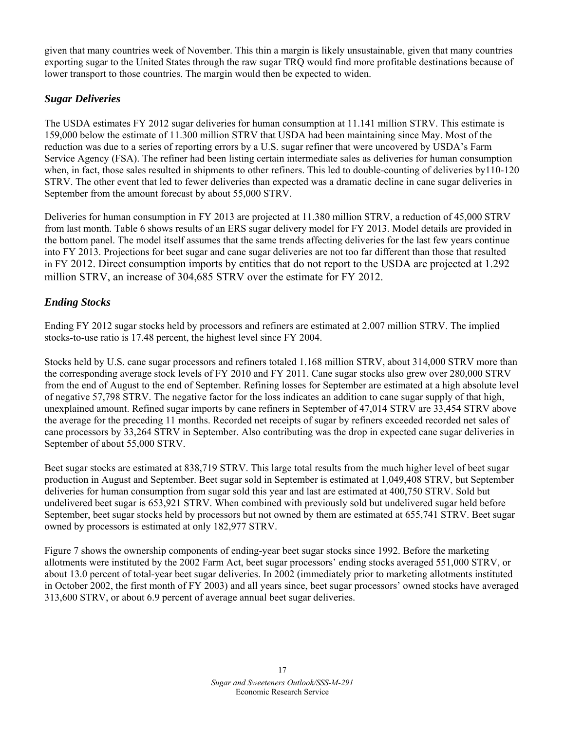given that many countries week of November. This thin a margin is likely unsustainable, given that many countries exporting sugar to the United States through the raw sugar TRQ would find more profitable destinations because of lower transport to those countries. The margin would then be expected to widen.

## *Sugar Deliveries*

The USDA estimates FY 2012 sugar deliveries for human consumption at 11.141 million STRV. This estimate is 159,000 below the estimate of 11.300 million STRV that USDA had been maintaining since May. Most of the reduction was due to a series of reporting errors by a U.S. sugar refiner that were uncovered by USDA's Farm Service Agency (FSA). The refiner had been listing certain intermediate sales as deliveries for human consumption when, in fact, those sales resulted in shipments to other refiners. This led to double-counting of deliveries by110-120 STRV. The other event that led to fewer deliveries than expected was a dramatic decline in cane sugar deliveries in September from the amount forecast by about 55,000 STRV.

Deliveries for human consumption in FY 2013 are projected at 11.380 million STRV, a reduction of 45,000 STRV from last month. Table 6 shows results of an ERS sugar delivery model for FY 2013. Model details are provided in the bottom panel. The model itself assumes that the same trends affecting deliveries for the last few years continue into FY 2013. Projections for beet sugar and cane sugar deliveries are not too far different than those that resulted in FY 2012. Direct consumption imports by entities that do not report to the USDA are projected at 1.292 million STRV, an increase of 304,685 STRV over the estimate for FY 2012.

## *Ending Stocks*

Ending FY 2012 sugar stocks held by processors and refiners are estimated at 2.007 million STRV. The implied stocks-to-use ratio is 17.48 percent, the highest level since FY 2004.

Stocks held by U.S. cane sugar processors and refiners totaled 1.168 million STRV, about 314,000 STRV more than the corresponding average stock levels of FY 2010 and FY 2011. Cane sugar stocks also grew over 280,000 STRV from the end of August to the end of September. Refining losses for September are estimated at a high absolute level of negative 57,798 STRV. The negative factor for the loss indicates an addition to cane sugar supply of that high, unexplained amount. Refined sugar imports by cane refiners in September of 47,014 STRV are 33,454 STRV above the average for the preceding 11 months. Recorded net receipts of sugar by refiners exceeded recorded net sales of cane processors by 33,264 STRV in September. Also contributing was the drop in expected cane sugar deliveries in September of about 55,000 STRV.

Beet sugar stocks are estimated at 838,719 STRV. This large total results from the much higher level of beet sugar production in August and September. Beet sugar sold in September is estimated at 1,049,408 STRV, but September deliveries for human consumption from sugar sold this year and last are estimated at 400,750 STRV. Sold but undelivered beet sugar is 653,921 STRV. When combined with previously sold but undelivered sugar held before September, beet sugar stocks held by processors but not owned by them are estimated at 655,741 STRV. Beet sugar owned by processors is estimated at only 182,977 STRV.

Figure 7 shows the ownership components of ending-year beet sugar stocks since 1992. Before the marketing allotments were instituted by the 2002 Farm Act, beet sugar processors' ending stocks averaged 551,000 STRV, or about 13.0 percent of total-year beet sugar deliveries. In 2002 (immediately prior to marketing allotments instituted in October 2002, the first month of FY 2003) and all years since, beet sugar processors' owned stocks have averaged 313,600 STRV, or about 6.9 percent of average annual beet sugar deliveries.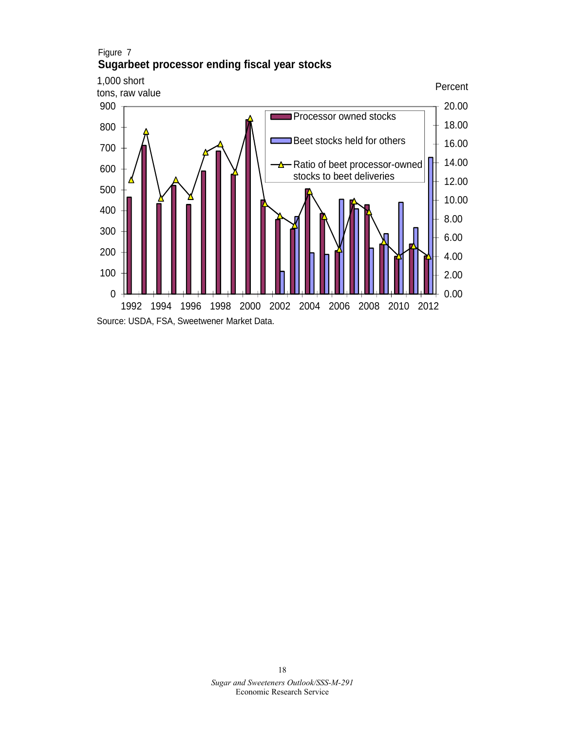

#### *Sugar and Sweeteners Outlook/SSS-M-291* Economic Research Service 18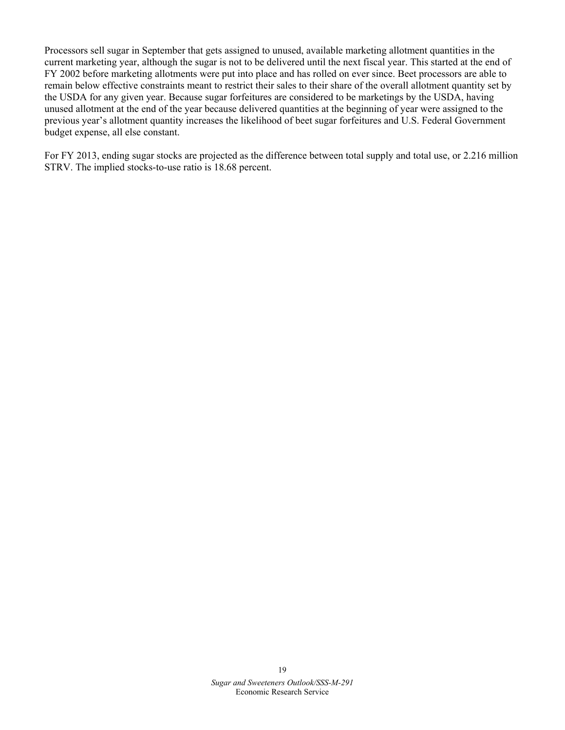Processors sell sugar in September that gets assigned to unused, available marketing allotment quantities in the current marketing year, although the sugar is not to be delivered until the next fiscal year. This started at the end of FY 2002 before marketing allotments were put into place and has rolled on ever since. Beet processors are able to remain below effective constraints meant to restrict their sales to their share of the overall allotment quantity set by the USDA for any given year. Because sugar forfeitures are considered to be marketings by the USDA, having unused allotment at the end of the year because delivered quantities at the beginning of year were assigned to the previous year's allotment quantity increases the likelihood of beet sugar forfeitures and U.S. Federal Government budget expense, all else constant.

For FY 2013, ending sugar stocks are projected as the difference between total supply and total use, or 2.216 million STRV. The implied stocks-to-use ratio is 18.68 percent.